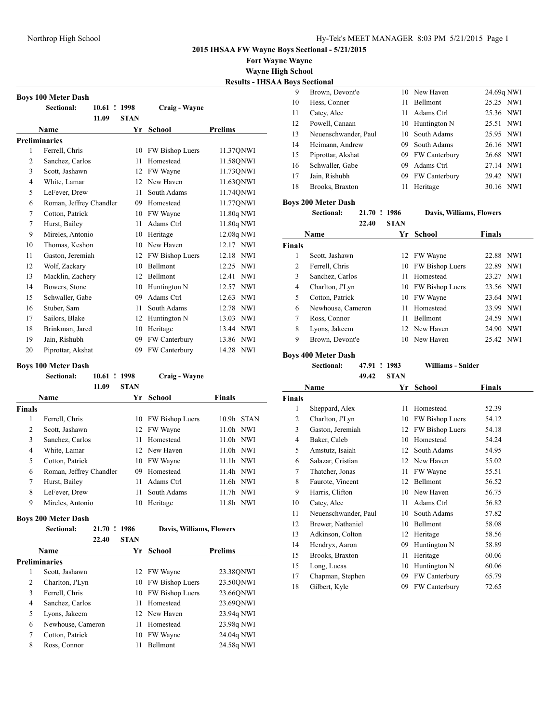**Fort Wayne Wayne**

**Wayne High School Results - IHSAA Boys Sectional**

|                | <b>Boys 100 Meter Dash</b> |             |                 |                     |  |  |  |
|----------------|----------------------------|-------------|-----------------|---------------------|--|--|--|
|                | Sectional:<br>$10.61$ !    | 1998        | Craig - Wayne   |                     |  |  |  |
|                | 11.09                      | <b>STAN</b> |                 |                     |  |  |  |
|                | Name                       | Yr          | <b>School</b>   | <b>Prelims</b>      |  |  |  |
|                | <b>Preliminaries</b>       |             |                 |                     |  |  |  |
| 1              | Ferrell, Chris             | 10          | FW Bishop Luers | 11.37QNWI           |  |  |  |
| $\overline{2}$ | Sanchez, Carlos            | 11          | Homestead       | 11.58QNWI           |  |  |  |
| 3              | Scott, Jashawn             | 12          | FW Wayne        | 11.73QNWI           |  |  |  |
| 4              | White, Lamar               | 12          | New Haven       | 11.63QNWI           |  |  |  |
| 5              | LeFever, Drew              | 11          | South Adams     | 11.74QNWI           |  |  |  |
| 6              | Roman, Jeffrey Chandler    | 09          | Homestead       | 11.77QNWI           |  |  |  |
| 7              | Cotton, Patrick            | 10          | FW Wayne        | 11.80q NWI          |  |  |  |
| 7              | Hurst, Bailey              | 11          | Adams Ctrl      | 11.80q NWI          |  |  |  |
| 9              | Mireles, Antonio           | 10          | Heritage        | 12.08q NWI          |  |  |  |
| 10             | Thomas, Keshon             | 10          | New Haven       | 12.17 NWI           |  |  |  |
| 11             | Gaston, Jeremiah           | 12          | FW Bishop Luers | <b>NWI</b><br>12.18 |  |  |  |
| 12             | Wolf, Zackary              | 10          | Bellmont        | <b>NWI</b><br>12.25 |  |  |  |
| 13             | Macklin, Zachery           | 12          | Bellmont        | 12.41<br><b>NWI</b> |  |  |  |
| 14             | Bowers, Stone              | 10          | Huntington N    | 12.57<br><b>NWI</b> |  |  |  |
| 15             | Schwaller, Gabe            | 09          | Adams Ctrl      | 12.63<br><b>NWI</b> |  |  |  |
| 16             | Stuber, Sam                | 11          | South Adams     | <b>NWI</b><br>12.78 |  |  |  |
| 17             | Sailors, Blake             | 12          | Huntington N    | <b>NWI</b><br>13.03 |  |  |  |
| 18             | Brinkman, Jared            | 10          | Heritage        | <b>NWI</b><br>13.44 |  |  |  |
| 19             | Jain, Rishubh              | 09          | FW Canterbury   | <b>NWI</b><br>13.86 |  |  |  |
| 20             | Piprottar, Akshat          | 09          | FW Canterbury   | 14.28<br><b>NWI</b> |  |  |  |

|                      | <b>Boys 100 Meter Dash</b> |                       |             |                          |                                  |
|----------------------|----------------------------|-----------------------|-------------|--------------------------|----------------------------------|
|                      | Sectional:                 | 10.61                 | 1998        | Craig - Wayne            |                                  |
|                      |                            | 11.09                 | <b>STAN</b> |                          |                                  |
|                      | <b>Name</b>                |                       | Yr          | <b>School</b>            | <b>Finals</b>                    |
| <b>Finals</b>        |                            |                       |             |                          |                                  |
| 1                    | Ferrell, Chris             |                       | 10          | FW Bishop Luers          | <b>STAN</b><br>10.9 <sub>h</sub> |
| $\overline{2}$       | Scott, Jashawn             |                       | 12          | FW Wayne                 | <b>NWI</b><br>11.0 <sub>h</sub>  |
| 3                    | Sanchez, Carlos            |                       | 11          | Homestead                | 11.0 <sub>h</sub><br><b>NWI</b>  |
| 4                    | White, Lamar               |                       | 12          | New Haven                | 11.0h NWI                        |
| 5                    | Cotton, Patrick            |                       | 10          | FW Wayne                 | $11.1h$ NWI                      |
| 6                    | Roman, Jeffrey Chandler    |                       | 09          | Homestead                | 11.4h<br><b>NWI</b>              |
| 7                    | Hurst, Bailey              |                       | 11          | Adams Ctrl               | 11.6h NWI                        |
| 8                    | LeFever, Drew              |                       | 11          | South Adams              | 11.7 <sub>h</sub><br><b>NWI</b>  |
| 9                    | Mireles, Antonio           |                       | 10          | Heritage                 | 11.8h NWI                        |
|                      | <b>Boys 200 Meter Dash</b> |                       |             |                          |                                  |
|                      | Sectional:                 | 21.70<br>$\mathbf{I}$ | 1986        | Davis, Williams, Flowers |                                  |
|                      |                            | 22.40                 | <b>STAN</b> |                          |                                  |
|                      | <b>Name</b>                |                       | Yr          | School                   | Prelims                          |
| <b>Preliminaries</b> |                            |                       |             |                          |                                  |
| 1                    | Scott, Jashawn             |                       | 12          | FW Wayne                 | 23.38QNWI                        |
| $\overline{2}$       | Charlton, J'Lyn            |                       | 10          | FW Bishop Luers          | 23.50QNWI                        |
| 3                    | Ferrell, Chris             |                       | 10          | FW Bishop Luers          | 23.66QNWI                        |
| 4                    | Sanchez, Carlos            |                       | 11          | Homestead                | 23.69QNWI                        |
| 5                    | Lyons, Jakeem              |                       | 12          | New Haven                | 23.94q NWI                       |
| 6                    | Newhouse, Cameron          |                       | 11          | Homestead                | 23.98q NWI                       |

 Cotton, Patrick 10 FW Wayne 24.04q NWI 8 Ross, Connor 11 Bellmont 24.58q NWI

| 9  | Brown, Devont'e      |     | 10 New Haven     | 24.69q NWI |
|----|----------------------|-----|------------------|------------|
| 10 | Hess, Conner         | 11  | Bellmont         | 25.25 NWI  |
| 11 | Catey, Alec          | 11  | Adams Ctrl       | 25.36 NWI  |
| 12 | Powell, Canaan       |     | 10 Huntington N  | 25.51 NWI  |
| 13 | Neuenschwander, Paul | 10. | South Adams      | 25.95 NWI  |
| 14 | Heimann, Andrew      | 09. | South Adams      | 26.16 NWI  |
| 15 | Piprottar, Akshat    |     | 09 FW Canterbury | 26.68 NWI  |
| 16 | Schwaller, Gabe      | 09  | Adams Ctrl       | 27.14 NWI  |
| 17 | Jain, Rishubh        |     | 09 FW Canterbury | 29.42 NWI  |
| 18 | Brooks, Braxton      | 11  | Heritage         | 30.16 NWI  |
|    |                      |     |                  |            |

# **Boys 200 Meter Dash**

**Sectional: 21.70 ! 1986 Davis, Williams, Flowers**

|               | 22.40             | <b>STAN</b> |                    |               |
|---------------|-------------------|-------------|--------------------|---------------|
|               | Name              | Yr.         | School             | <b>Finals</b> |
| <b>Finals</b> |                   |             |                    |               |
| 1             | Scott, Jashawn    |             | 12 FW Wayne        | 22.88 NWI     |
| 2             | Ferrell, Chris    |             | 10 FW Bishop Luers | 22.89 NWI     |
| 3             | Sanchez, Carlos   | 11          | Homestead          | 23.27 NWI     |
| 4             | Charlton, J'Lyn   |             | 10 FW Bishop Luers | 23.56 NWI     |
| 5             | Cotton, Patrick   | 10          | FW Wayne           | 23.64 NWI     |
| 6             | Newhouse, Cameron | 11          | Homestead          | 23.99 NWI     |
| 7             | Ross, Connor      | 11          | <b>Bellmont</b>    | 24.59 NWI     |
| 8             | Lyons, Jakeem     |             | 12 New Haven       | NWI<br>24.90  |
| 9             | Brown, Devont'e   | 10          | New Haven          | 25.42 NWI     |

# **Boys 400 Meter Dash**

**Sectional: 47.91 ! 1983 Williams - Snider 49.42 STAN**

| Name                 |    | School          | <b>Finals</b> |
|----------------------|----|-----------------|---------------|
|                      |    |                 |               |
| Sheppard, Alex       | 11 | Homestead       | 52.39         |
| Charlton, J'Lyn      | 10 | FW Bishop Luers | 54.12         |
| Gaston, Jeremiah     | 12 | FW Bishop Luers | 54.18         |
| Baker, Caleb         | 10 | Homestead       | 54.24         |
| Amstutz, Isaiah      | 12 | South Adams     | 54.95         |
| Salazar, Cristian    | 12 | New Haven       | 55.02         |
| Thatcher, Jonas      | 11 | FW Wayne        | 55.51         |
| Faurote, Vincent     | 12 | Bellmont        | 56.52         |
| Harris, Clifton      | 10 | New Haven       | 56.75         |
| Catey, Alec          | 11 | Adams Ctrl      | 56.82         |
| Neuenschwander, Paul | 10 | South Adams     | 57.82         |
| Brewer, Nathaniel    | 10 | Bellmont        | 58.08         |
| Adkinson, Colton     | 12 | Heritage        | 58.56         |
| Hendryx, Aaron       | 09 | Huntington N    | 58.89         |
| Brooks, Braxton      | 11 | Heritage        | 60.06         |
| Long, Lucas          | 10 | Huntington N    | 60.06         |
| Chapman, Stephen     | 09 | FW Canterbury   | 65.79         |
| Gilbert, Kyle        | 09 | FW Canterbury   | 72.65         |
|                      |    | Yr              |               |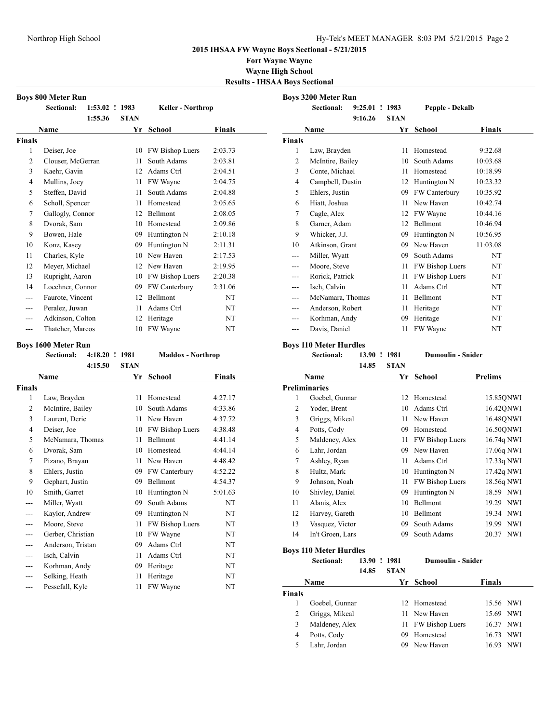**Fort Wayne Wayne Wayne High School Results - IHSAA Boys Sectional**

|                | <b>Boys 800 Meter Run</b>          |                           |  |             |                           |               |  |  |
|----------------|------------------------------------|---------------------------|--|-------------|---------------------------|---------------|--|--|
|                | <b>Sectional:</b>                  | 1:53.02 ! 1983            |  |             | <b>Keller - Northrop</b>  |               |  |  |
|                |                                    | 1:55.36                   |  | <b>STAN</b> |                           |               |  |  |
|                | Name                               |                           |  | Yr          | <b>School</b>             | <b>Finals</b> |  |  |
| <b>Finals</b>  |                                    |                           |  |             |                           |               |  |  |
| 1              | Deiser, Joe                        |                           |  | 10          | FW Bishop Luers           | 2:03.73       |  |  |
| $\overline{c}$ | Clouser, McGerran                  |                           |  | 11          | South Adams               | 2:03.81       |  |  |
| 3              | Kaehr, Gavin                       |                           |  | 12          | Adams Ctrl                | 2:04.51       |  |  |
| 4              | Mullins, Joey                      |                           |  | 11          | FW Wayne                  | 2:04.75       |  |  |
| 5              | Steffen, David                     |                           |  | 11          | South Adams               | 2:04.88       |  |  |
| 6              | Scholl, Spencer                    |                           |  | 11          | Homestead                 | 2:05.65       |  |  |
| 7              | Gallogly, Connor                   |                           |  | 12          | Bellmont                  | 2:08.05       |  |  |
| 8              | Dvorak, Sam                        |                           |  | 10          | Homestead                 | 2:09.86       |  |  |
| 9              | Bowen, Hale                        |                           |  | 09          | Huntington N              | 2:10.18       |  |  |
| 10             | Konz, Kasey                        |                           |  | 09          | Huntington N              | 2:11.31       |  |  |
| 11             | Charles, Kyle                      |                           |  | 10          | New Haven                 | 2:17.53       |  |  |
| 12             | Meyer, Michael                     |                           |  |             | 12 New Haven              | 2:19.95       |  |  |
| 13             | Rupright, Aaron                    |                           |  |             | 10 FW Bishop Luers        | 2:20.38       |  |  |
| 14             | Loechner, Connor                   |                           |  | 09          | FW Canterbury             | 2:31.06       |  |  |
| ---            | Faurote, Vincent                   |                           |  | 12          | Bellmont                  | NT            |  |  |
| $-$ --         | Peralez, Juwan                     |                           |  | 11          | Adams Ctrl                | NT            |  |  |
| ---            | Adkinson, Colton                   |                           |  | 12          | Heritage                  | NT            |  |  |
| ---            | Thatcher, Marcos                   |                           |  | 10          | FW Wayne                  | NT            |  |  |
|                |                                    |                           |  |             |                           |               |  |  |
|                | <b>Boys 1600 Meter Run</b>         |                           |  |             |                           |               |  |  |
|                |                                    |                           |  |             |                           |               |  |  |
|                | <b>Sectional:</b>                  | 4:18.20 ! 1981<br>4:15.50 |  | <b>STAN</b> | <b>Maddox</b> - Northrop  |               |  |  |
|                |                                    |                           |  | Yr          |                           |               |  |  |
| <b>Finals</b>  | Name                               |                           |  |             | <b>School</b>             | <b>Finals</b> |  |  |
| 1              |                                    |                           |  | 11          | Homestead                 | 4:27.17       |  |  |
| 2              | Law, Brayden                       |                           |  |             | 10 South Adams            | 4:33.86       |  |  |
| 3              | McIntire, Bailey<br>Laurent, Deric |                           |  | 11          | New Haven                 | 4:37.72       |  |  |
| $\overline{4}$ |                                    |                           |  | 10          | FW Bishop Luers           | 4:38.48       |  |  |
| 5              | Deiser, Joe<br>McNamara, Thomas    |                           |  | 11          | Bellmont                  | 4:41.14       |  |  |
| 6              | Dvorak, Sam                        |                           |  | 10          | Homestead                 | 4:44.14       |  |  |
| 7              | Pizano, Brayan                     |                           |  | 11          | New Haven                 | 4:48.42       |  |  |
| 8              | Ehlers, Justin                     |                           |  | 09          |                           | 4:52.22       |  |  |
| 9              | Gephart, Justin                    |                           |  | 09          | FW Canterbury<br>Bellmont | 4:54.37       |  |  |
| 10             | Smith, Garret                      |                           |  | 10          | Huntington N              | 5:01.63       |  |  |
| ---            |                                    |                           |  | 09          | South Adams               | NT            |  |  |
| ---            | Miller, Wyatt<br>Kaylor, Andrew    |                           |  | 09          | Huntington N              | NT            |  |  |
| ---            | Moore, Steve                       |                           |  | 11          | FW Bishop Luers           | NT            |  |  |
| ---            | Gerber, Christian                  |                           |  | 10          | FW Wayne                  | NT            |  |  |
| ---            | Anderson, Tristan                  |                           |  | 09          | Adams Ctrl                | NT            |  |  |
| ---            | Isch, Calvin                       |                           |  | 11          | Adams Ctrl                | NΤ            |  |  |
| ---            | Korhman, Andy                      |                           |  | 09          | Heritage                  | NT            |  |  |
| ---            | Selking, Heath                     |                           |  | 11          | Heritage                  | NT            |  |  |

| <b>Boys 3200 Meter Run</b> |                  |             |             |                        |               |  |
|----------------------------|------------------|-------------|-------------|------------------------|---------------|--|
|                            | Sectional:       | $9:25.01$ ! | 1983        | Pepple - Dekalb        |               |  |
|                            |                  | 9:16.26     | <b>STAN</b> |                        |               |  |
|                            | Name             |             | Yr          | School                 | <b>Finals</b> |  |
| <b>Finals</b>              |                  |             |             |                        |               |  |
| 1                          | Law, Brayden     |             | 11          | Homestead              | 9:32.68       |  |
| $\overline{c}$             | McIntire, Bailey |             | 10          | South Adams            | 10:03.68      |  |
| 3                          | Conte, Michael   |             | 11          | Homestead              | 10:18.99      |  |
| $\overline{4}$             | Campbell, Dustin |             | 12          | Huntington N           | 10:23.32      |  |
| 5                          | Ehlers, Justin   |             | 09          | FW Canterbury          | 10:35.92      |  |
| 6                          | Hiatt, Joshua    |             | 11          | New Haven              | 10:42.74      |  |
| 7                          | Cagle, Alex      |             | 12          | FW Wayne               | 10:44.16      |  |
| 8                          | Garner, Adam     |             | 12          | <b>Bellmont</b>        | 10:46.94      |  |
| 9                          | Whicker, J.J.    |             | 09          | Huntington N           | 10:56.95      |  |
| 10                         | Atkinson, Grant  |             | 09          | New Haven              | 11:03.08      |  |
| ---                        | Miller, Wyatt    |             | 09          | South Adams            | NT            |  |
| ---                        | Moore, Steve     |             | 11          | <b>FW Bishop Luers</b> | NT            |  |
| ---                        | Rorick, Patrick  |             | 11          | FW Bishop Luers        | NT            |  |
| ---                        | Isch, Calvin     |             | 11          | Adams Ctrl             | <b>NT</b>     |  |
| ---                        | McNamara, Thomas |             | 11          | Bellmont               | <b>NT</b>     |  |
| ---                        | Anderson, Robert |             | 11          | Heritage               | NT            |  |
| ---                        | Korhman, Andy    |             | 09          | Heritage               | NT            |  |
|                            | Davis, Daniel    |             | 11          | FW Wayne               | NT            |  |
|                            |                  |             |             |                        |               |  |

### **Boys 110 Meter Hurdles**

**Sectional: 13.90 ! 1981 Dumoulin - Snider 14.85 STAN**

|                | .                |    |                 |                     |
|----------------|------------------|----|-----------------|---------------------|
|                | Name             | Yr | <b>School</b>   | <b>Prelims</b>      |
|                | Preliminaries    |    |                 |                     |
| 1              | Goebel, Gunnar   | 12 | Homestead       | 15.85ONWI           |
| 2              | Yoder, Brent     | 10 | Adams Ctrl      | 16.42QNWI           |
| 3              | Griggs, Mikeal   | 11 | New Haven       | 16.48ONWI           |
| $\overline{4}$ | Potts, Cody      | 09 | Homestead       | 16.50ONWI           |
| 5              | Maldeney, Alex   | 11 | FW Bishop Luers | 16.74q NWI          |
| 6              | Lahr, Jordan     | 09 | New Haven       | 17.06q NWI          |
| 7              | Ashley, Ryan     | 11 | Adams Ctrl      | 17.33q NWI          |
| 8              | Hultz, Mark      | 10 | Huntington N    | 17.42q NWI          |
| 9              | Johnson, Noah    | 11 | FW Bishop Luers | 18.56q NWI          |
| 10             | Shivley, Daniel  | 09 | Huntington N    | 18.59 NWI           |
| 11             | Alanis, Alex     | 10 | Bellmont        | 19.29 NWI           |
| 12             | Harvey, Gareth   | 10 | Bellmont        | 19.34 NWI           |
| 13             | Vasquez, Victor  | 09 | South Adams     | <b>NWI</b><br>19.99 |
| 14             | In't Groen, Lars | 09 | South Adams     | 20.37 NWI           |

# **Boys 110 Meter Hurdles**

**Sectional: 13.90 ! 1981 Dumoulin - Snider**

**14.85 STAN Name Yr** School **Finals Finals** 1 Goebel, Gunnar 12 Homestead 15.56 NWI 2 Griggs, Mikeal 11 New Haven 15.69 NWI 3 Maldeney, Alex 11 FW Bishop Luers 16.37 NWI 4 Potts, Cody 09 Homestead 16.73 NWI 5 Lahr, Jordan 09 New Haven 16.93 NWI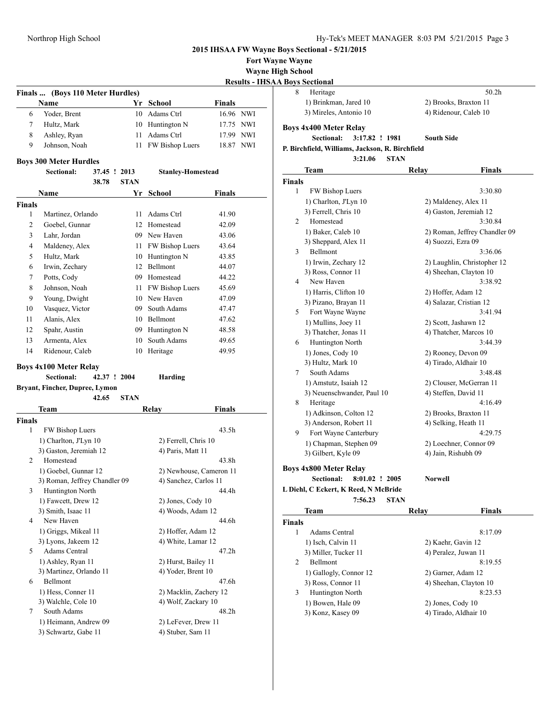**Fort Wayne Wayne**

**Boys 4x800 Meter**  $Sectional:$ 

**Wayne High School**

# **Results - IHSAA Boys**

|   | Finals  (Boys 110 Meter Hurdles) |  |                    |                     |  |  |
|---|----------------------------------|--|--------------------|---------------------|--|--|
|   | <b>Name</b>                      |  | Yr School          | <b>Finals</b>       |  |  |
| 6 | Yoder, Brent                     |  | 10 Adams Ctrl      | 16.96 NWI           |  |  |
|   | Hultz, Mark                      |  | 10 Huntington N    | 17.75 NWI           |  |  |
| 8 | Ashley, Ryan                     |  | 11 Adams Ctrl      | 17.99 NWI           |  |  |
| 9 | Johnson, Noah                    |  | 11 FW Bishop Luers | <b>NWI</b><br>18.87 |  |  |

#### **Boys 300 Meter Hurdles**

**Sectional: 37.45 ! 2013 Stanley-Homestead**

| .     | ----        |
|-------|-------------|
| 38.78 | <b>STAN</b> |

| <b>Name</b>   |                   | Yr | School          | <b>Finals</b> |  |
|---------------|-------------------|----|-----------------|---------------|--|
| <b>Finals</b> |                   |    |                 |               |  |
| 1             | Martinez, Orlando | 11 | Adams Ctrl      | 41.90         |  |
| 2             | Goebel, Gunnar    | 12 | Homestead       | 42.09         |  |
| 3             | Lahr, Jordan      | 09 | New Haven       | 43.06         |  |
| 4             | Maldeney, Alex    | 11 | FW Bishop Luers | 43.64         |  |
| 5             | Hultz, Mark       | 10 | Huntington N    | 43.85         |  |
| 6             | Irwin, Zechary    | 12 | <b>Bellmont</b> | 44.07         |  |
| 7             | Potts, Cody       | 09 | Homestead       | 44.22         |  |
| 8             | Johnson, Noah     | 11 | FW Bishop Luers | 45.69         |  |
| 9             | Young, Dwight     |    | 10 New Haven    | 47.09         |  |
| 10            | Vasquez, Victor   | 09 | South Adams     | 47.47         |  |
| 11            | Alanis, Alex      | 10 | Bellmont        | 47.62         |  |
| 12            | Spahr, Austin     | 09 | Huntington N    | 48.58         |  |
| 13            | Armenta, Alex     | 10 | South Adams     | 49.65         |  |
| 14            | Ridenour, Caleb   | 10 | Heritage        | 49.95         |  |

#### **Boys 4x100 Meter Relay**

1) Fawcett, Drew 12 3) Smith, Isaac 11 4 New Haven

1) Griggs, Mikeal 11 3) Lyons, Jakeem 12 5 Adams Central 1) Ashley, Ryan 11 3) Martinez, Orlando 11

1) Hess, Conner 11 3) Walchle, Cole 10 7 South Adams

> 1) Heimann, Andrew 09 3) Schwartz, Gabe 11

6 Bellmont

|               | Sectional:                     | 42.37 ! 2004 |             | Harding               |                         |  |  |  |  |
|---------------|--------------------------------|--------------|-------------|-----------------------|-------------------------|--|--|--|--|
|               | Bryant, Fincher, Dupree, Lymon |              |             |                       |                         |  |  |  |  |
|               |                                | 42.65        | <b>STAN</b> |                       |                         |  |  |  |  |
|               | Team                           |              |             | Relav                 | <b>Finals</b>           |  |  |  |  |
| <b>Finals</b> |                                |              |             |                       |                         |  |  |  |  |
| 1             | <b>FW Bishop Luers</b>         |              |             |                       | 43.5 <sub>h</sub>       |  |  |  |  |
|               | 1) Charlton, J'Lyn 10          |              |             | 2) Ferrell, Chris 10  |                         |  |  |  |  |
|               | 3) Gaston, Jeremiah 12         |              |             | 4) Paris, Matt 11     |                         |  |  |  |  |
| 2             | Homestead                      |              |             |                       | 43.8h                   |  |  |  |  |
|               | 1) Goebel, Gunnar 12           |              |             |                       | 2) Newhouse, Cameron 11 |  |  |  |  |
|               | 3) Roman, Jeffrey Chandler 09  |              |             | 4) Sanchez, Carlos 11 |                         |  |  |  |  |
| 3             | <b>Huntington North</b>        |              |             |                       | 44.4h                   |  |  |  |  |

|       | 2) Newhouse, Cameron 11 |
|-------|-------------------------|
| er 09 | 4) Sanchez, Carlos 11   |
|       | 44.4h                   |
|       | $2)$ Jones, Cody 10     |
|       | 4) Woods, Adam 12       |
|       | 44.6h                   |
|       | 2) Hoffer, Adam 12      |
|       | 4) White, Lamar 12      |
|       | 47.2h                   |
|       | 2) Hurst, Bailey 11     |
|       | 4) Yoder, Brent 10      |
|       | 47.6h                   |
|       | 2) Macklin, Zachery 12  |
|       | 4) Wolf, Zackary 10     |
|       | 48.2h                   |
|       | 2) LeFever, Drew 11     |
|       | 4) Stuber. Sam 11       |

|                | <b>Boys Sectional</b>         |                                                 |                    |                               |
|----------------|-------------------------------|-------------------------------------------------|--------------------|-------------------------------|
| 8              | Heritage                      |                                                 |                    | 50.2 <sub>h</sub>             |
|                | 1) Brinkman, Jared 10         |                                                 |                    | 2) Brooks, Braxton 11         |
|                | 3) Mireles, Antonio 10        |                                                 |                    | 4) Ridenour, Caleb 10         |
|                | <b>Boys 4x400 Meter Relay</b> |                                                 |                    |                               |
|                | Sectional:                    | 3:17.82 ! 1981                                  | <b>South Side</b>  |                               |
|                |                               | P. Birchfield, Williams, Jackson, R. Birchfield |                    |                               |
|                |                               | 3:21.06                                         | <b>STAN</b>        |                               |
|                | Team                          |                                                 | Relay              | Finals                        |
| <b>Finals</b>  |                               |                                                 |                    |                               |
| 1              | <b>FW Bishop Luers</b>        |                                                 |                    | 3:30.80                       |
|                | 1) Charlton, J'Lyn 10         |                                                 |                    | 2) Maldeney, Alex 11          |
|                | 3) Ferrell, Chris 10          |                                                 |                    | 4) Gaston, Jeremiah 12        |
| $\mathfrak{D}$ | Homestead                     |                                                 |                    | 3:30.84                       |
|                | 1) Baker, Caleb 10            |                                                 |                    | 2) Roman, Jeffrey Chandler 09 |
|                | 3) Sheppard, Alex 11          |                                                 | 4) Suozzi, Ezra 09 |                               |
| 3              | Bellmont                      |                                                 |                    | 3:36.06                       |
|                | 1) Irwin, Zechary 12          |                                                 |                    | 2) Laughlin, Christopher 12   |

|   | iehl, C Eckert, K Reed, N McBride                    |                             |
|---|------------------------------------------------------|-----------------------------|
|   | ys 4x800 Meter Relay<br>Sectional:<br>8:01.02 ! 2005 | <b>Norwell</b>              |
|   | 3) Gilbert, Kyle 09                                  | 4) Jain, Rishubh 09         |
|   | 1) Chapman, Stephen 09                               | 2) Loechner, Connor 09      |
| 9 | Fort Wayne Canterbury                                | 4:29.75                     |
|   | 3) Anderson, Robert 11                               | 4) Selking, Heath 11        |
|   | 1) Adkinson, Colton 12                               | 2) Brooks, Braxton 11       |
| 8 | Heritage                                             | 4:16.49                     |
|   | 3) Neuenschwander, Paul 10                           | 4) Steffen, David 11        |
|   | 1) Amstutz, Isaiah 12                                | 2) Clouser, McGerran 11     |
| 7 | South Adams                                          | 3:48.48                     |
|   | 3) Hultz, Mark 10                                    | 4) Tirado, Aldhair 10       |
|   | 1) Jones, Cody 10                                    | 2) Rooney, Devon 09         |
| 6 | Huntington North                                     | 3:44.39                     |
|   | 3) Thatcher, Jonas 11                                | 4) Thatcher, Marcos 10      |
|   | 1) Mullins, Joey 11                                  | 2) Scott, Jashawn 12        |
| 5 | Fort Wayne Wayne                                     | 3:41.94                     |
|   | 3) Pizano, Brayan 11                                 | 4) Salazar, Cristian 12     |
|   | 1) Harris, Clifton 10                                | 2) Hoffer, Adam 12          |
| 4 | New Haven                                            | 3:38.92                     |
|   | 3) Ross, Connor 11                                   | 4) Sheehan, Clayton 10      |
|   | 1) Irwin, Zechary 12                                 | 2) Laughlin, Christopher 12 |
| 3 | Bellmont                                             | 3:36.06                     |
|   | 3) Sheppard, Alex 11                                 | 4) Suozzi, Ezra 09          |

#### **L Diehl, C Eckert, K 7:56.23 STAN**

| Team                   | Relay              | <b>Finals</b>          |
|------------------------|--------------------|------------------------|
| <b>Finals</b>          |                    |                        |
| Adams Central<br>1     |                    | 8:17.09                |
| 1) Isch, Calvin 11     | 2) Kaehr, Gavin 12 |                        |
| 3) Miller, Tucker 11   |                    | 4) Peralez, Juwan 11   |
| 2<br><b>Bellmont</b>   |                    | 8:19.55                |
| 1) Gallogly, Connor 12 |                    | 2) Garner, Adam 12     |
| 3) Ross, Connor 11     |                    | 4) Sheehan, Clayton 10 |
| 3<br>Huntington North  |                    | 8:23.53                |
| 1) Bowen, Hale 09      | 2) Jones, Cody 10  |                        |
| 3) Konz, Kasey 09      |                    | 4) Tirado, Aldhair 10  |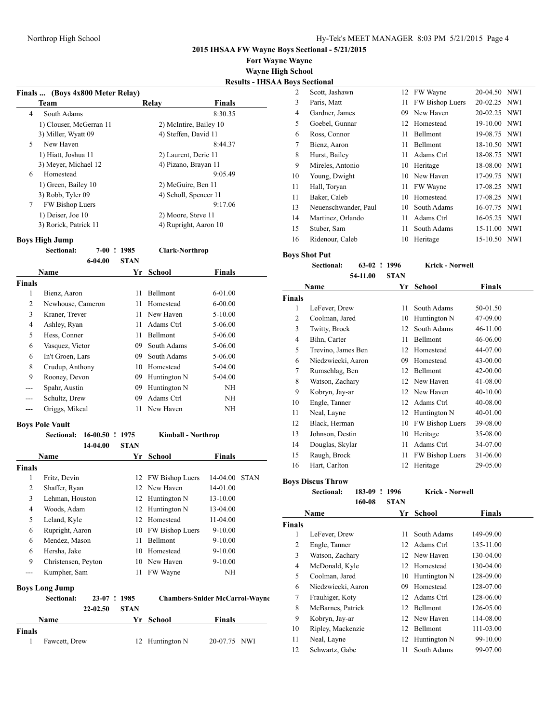**Fort Wayne Wayne Wayne High School Results - IHSAA Boys Sectional**

|                |                                  |                    | Results - 111          |  |
|----------------|----------------------------------|--------------------|------------------------|--|
|                | Finals  (Boys 4x800 Meter Relay) |                    |                        |  |
|                | <b>Team</b>                      | Relay              | <b>Finals</b>          |  |
| $\overline{4}$ | South Adams                      |                    | 8:30.35                |  |
|                | 1) Clouser, McGerran 11          |                    | 2) McIntire, Bailey 10 |  |
|                | 3) Miller, Wyatt 09              |                    | 4) Steffen, David 11   |  |
| 5              | New Haven                        |                    | 8:44.37                |  |
|                | 1) Hiatt, Joshua 11              |                    | 2) Laurent, Deric 11   |  |
|                | 3) Meyer, Michael 12             |                    | 4) Pizano, Brayan 11   |  |
| 6              | Homestead                        |                    | 9:05.49                |  |
|                | 1) Green, Bailey 10              | 2) McGuire, Ben 11 |                        |  |
|                | 3) Robb, Tyler 09                |                    | 4) Scholl, Spencer 11  |  |
| 7              | FW Bishop Luers                  |                    | 9:17.06                |  |
|                | 1) Deiser, Joe 10                | 2) Moore, Steve 11 |                        |  |
|                | 3) Rorick, Patrick 11            |                    | 4) Rupright, Aaron 10  |  |
|                |                                  |                    |                        |  |

**Boys High Jump**

| <b>Sectional:</b> | 7-00 ! 1985 |       | <b>Clark-Northrop</b> |
|-------------------|-------------|-------|-----------------------|
|                   | 6-04.00     | -STAN |                       |

|               | <b>Name</b>       | Yr. | <b>School</b>   | <b>Finals</b> |
|---------------|-------------------|-----|-----------------|---------------|
| <b>Finals</b> |                   |     |                 |               |
| 1             | Bienz, Aaron      | 11  | <b>Bellmont</b> | $6-01.00$     |
| 2             | Newhouse, Cameron | 11  | Homestead       | $6 - 00.00$   |
| 3             | Kraner, Trever    | 11  | New Haven       | $5 - 10.00$   |
| 4             | Ashley, Ryan      | 11  | Adams Ctrl      | 5-06.00       |
| 5             | Hess, Conner      | 11  | <b>Bellmont</b> | 5-06.00       |
| 6             | Vasquez, Victor   | 09  | South Adams     | 5-06.00       |
| 6             | In't Groen, Lars  | 09  | South Adams     | 5-06.00       |
| 8             | Crudup, Anthony   | 10  | Homestead       | 5-04.00       |
| 9             | Rooney, Devon     | 09  | Huntington N    | 5-04.00       |
| ---           | Spahr, Austin     | 09  | Huntington N    | NH            |
| ---           | Schultz, Drew     | 09  | Adams Ctrl      | NH            |
|               | Griggs, Mikeal    | 11  | New Haven       | NΗ            |

# **Boys Pole Vault**

|                | Sectional:            | 16-00.50  | Ţ | 1975        | <b>Kimball - Northrop</b>             |               |             |
|----------------|-----------------------|-----------|---|-------------|---------------------------------------|---------------|-------------|
|                |                       | 14-04.00  |   | <b>STAN</b> |                                       |               |             |
|                | Name                  |           |   | Yr.         | School                                | <b>Finals</b> |             |
| <b>Finals</b>  |                       |           |   |             |                                       |               |             |
| 1              | Fritz, Devin          |           |   |             | 12 FW Bishop Luers                    | $14 - 04.00$  | <b>STAN</b> |
| $\overline{2}$ | Shaffer, Ryan         |           |   | 12          | New Haven                             | 14-01.00      |             |
| 3              | Lehman, Houston       |           |   | 12          | Huntington N                          | 13-10.00      |             |
| $\overline{4}$ | Woods, Adam           |           |   | 12          | Huntington N                          | 13-04.00      |             |
| 5              | Leland, Kyle          |           |   | 12          | Homestead                             | 11-04.00      |             |
| 6              | Rupright, Aaron       |           |   | 10          | FW Bishop Luers                       | $9 - 10.00$   |             |
| 6              | Mendez, Mason         |           |   | 11          | Bellmont                              | $9 - 10.00$   |             |
| 6              | Hersha, Jake          |           |   | 10          | Homestead                             | $9 - 10.00$   |             |
| 9              | Christensen, Peyton   |           |   | 10          | New Haven                             | $9 - 10.00$   |             |
| ---            | Kumpher, Sam          |           |   | 11          | FW Wayne                              | NH            |             |
|                | <b>Boys Long Jump</b> |           |   |             |                                       |               |             |
|                | Sectional:            | $23-07$ ! |   | 1985        | <b>Chambers-Snider McCarrol-Wayne</b> |               |             |
|                |                       | 22-02.50  |   | <b>STAN</b> |                                       |               |             |
|                | Name                  |           |   | Yr          | School                                | Finals        |             |
| <b>Finals</b>  |                       |           |   |             |                                       |               |             |
| 1              | Fawcett, Drew         |           |   | 12          | Huntington N                          | 20-07.75      | NWI         |

| 2  | Scott, Jashawn       |    | 12 FW Wayne     | 20-04.50 NWI |     |
|----|----------------------|----|-----------------|--------------|-----|
| 3  | Paris, Matt          | 11 | FW Bishop Luers | 20-02.25 NWI |     |
| 4  | Gardner, James       | 09 | New Haven       | 20-02.25 NWI |     |
| 5  | Goebel, Gunnar       | 12 | Homestead       | 19-10.00 NWI |     |
| 6  | Ross, Connor         | 11 | Bellmont        | 19-08.75 NWI |     |
| 7  | Bienz, Aaron         | 11 | Bellmont        | 18-10.50 NWI |     |
| 8  | Hurst, Bailey        | 11 | Adams Ctrl      | 18-08.75 NWI |     |
| 9  | Mireles, Antonio     | 10 | Heritage        | 18-08.00 NWI |     |
| 10 | Young, Dwight        | 10 | New Haven       | 17-09.75 NWI |     |
| 11 | Hall, Toryan         | 11 | FW Wayne        | 17-08.25 NWI |     |
| 11 | Baker, Caleb         | 10 | Homestead       | 17-08.25 NWI |     |
| 13 | Neuenschwander, Paul | 10 | South Adams     | 16-07.75 NWI |     |
| 14 | Martinez, Orlando    | 11 | Adams Ctrl      | 16-05.25 NWI |     |
| 15 | Stuber, Sam          | 11 | South Adams     | 15-11.00 NWI |     |
| 16 | Ridenour, Caleb      | 10 | Heritage        | 15-10.50     | NWI |
|    |                      |    |                 |              |     |

**Boys Shot Put**

**Sectional: 63-02 ! 1996 Krick - Norwell 54-11.00 STAN**

|                | Name               | Yr | School          | Finals   |
|----------------|--------------------|----|-----------------|----------|
| <b>Finals</b>  |                    |    |                 |          |
| 1              | LeFever, Drew      | 11 | South Adams     | 50-01.50 |
| $\overline{c}$ | Coolman, Jared     | 10 | Huntington N    | 47-09.00 |
| 3              | Twitty, Brock      | 12 | South Adams     | 46-11.00 |
| 4              | Bihn, Carter       | 11 | Bellmont        | 46-06.00 |
| 5              | Trevino, James Ben | 12 | Homestead       | 44-07.00 |
| 6              | Niedzwiecki, Aaron | 09 | Homestead       | 43-00.00 |
| 7              | Rumschlag, Ben     | 12 | Bellmont        | 42-00.00 |
| 8              | Watson, Zachary    | 12 | New Haven       | 41-08.00 |
| 9              | Kobryn, Jay-ar     | 12 | New Haven       | 40-10.00 |
| 10             | Engle, Tanner      | 12 | Adams Ctrl      | 40-08.00 |
| 11             | Neal, Layne        | 12 | Huntington N    | 40-01.00 |
| 12             | Black, Herman      | 10 | FW Bishop Luers | 39-08.00 |
| 13             | Johnson, Destin    | 10 | Heritage        | 35-08.00 |
| 14             | Douglas, Skylar    | 11 | Adams Ctrl      | 34-07.00 |
| 15             | Raugh, Brock       | 11 | FW Bishop Luers | 31-06.00 |
| 16             | Hart, Carlton      | 12 | Heritage        | 29-05.00 |

**Boys Discus Throw**

**Sectional: 183-09 ! 1996 Krick - Norwell 160-08 STAN**

|               | Name               |    | Yr School       | <b>Finals</b> |
|---------------|--------------------|----|-----------------|---------------|
| <b>Finals</b> |                    |    |                 |               |
| 1             | LeFever, Drew      | 11 | South Adams     | 149-09.00     |
| 2             | Engle, Tanner      | 12 | Adams Ctrl      | 135-11.00     |
| 3             | Watson, Zachary    |    | 12 New Haven    | 130-04.00     |
| 4             | McDonald, Kyle     |    | 12 Homestead    | 130-04.00     |
| 5             | Coolman, Jared     | 10 | Huntington N    | 128-09.00     |
| 6             | Niedzwiecki, Aaron | 09 | Homestead       | 128-07.00     |
| 7             | Frauhiger, Koty    | 12 | Adams Ctrl      | 128-06.00     |
| 8             | McBarnes, Patrick  | 12 | <b>Bellmont</b> | 126-05.00     |
| 9             | Kobryn, Jay-ar     |    | 12 New Haven    | 114-08.00     |
| 10            | Ripley, Mackenzie  | 12 | Bellmont        | 111-03.00     |
| 11            | Neal, Layne        | 12 | Huntington N    | 99-10.00      |
| 12            | Schwartz, Gabe     | 11 | South Adams     | 99-07.00      |